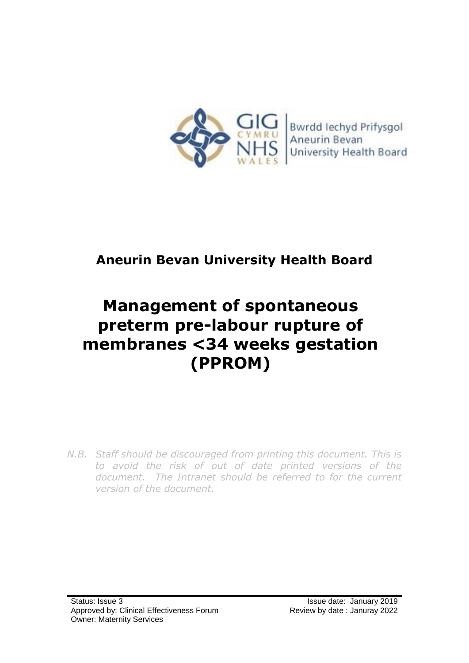

# **Aneurin Bevan University Health Board**

# **Management of spontaneous preterm pre-labour rupture of membranes <34 weeks gestation (PPROM)**

*N.B. Staff should be discouraged from printing this document. This is to avoid the risk of out of date printed versions of the document. The Intranet should be referred to for the current version of the document.*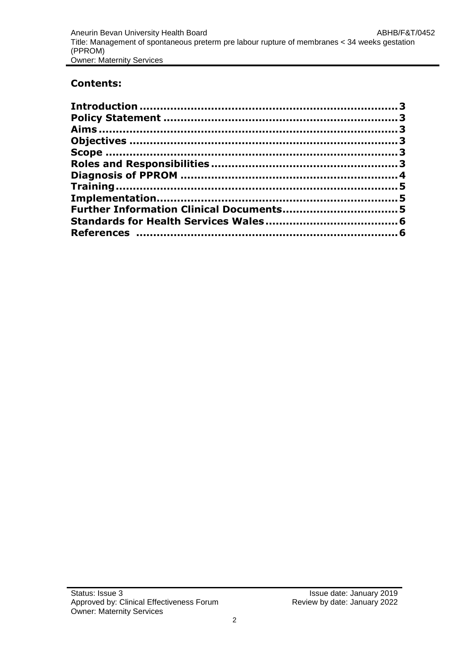#### **Contents:**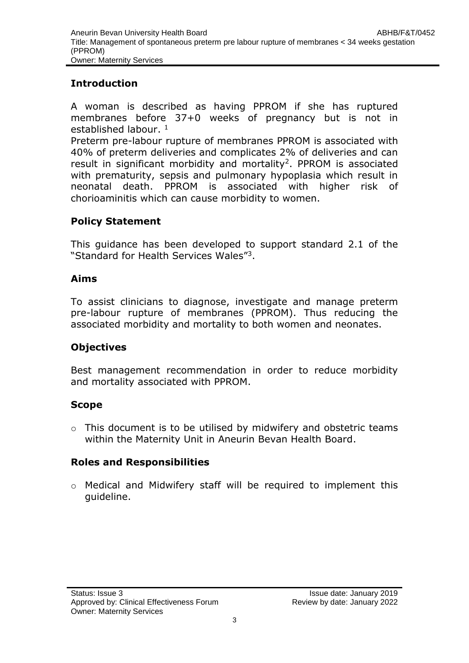#### <span id="page-2-0"></span>**Introduction**

A woman is described as having PPROM if she has ruptured membranes before 37+0 weeks of pregnancy but is not in established labour. 1

Preterm pre-labour rupture of membranes PPROM is associated with 40% of preterm deliveries and complicates 2% of deliveries and can result in significant morbidity and mortality<sup>2</sup>. PPROM is associated with prematurity, sepsis and pulmonary hypoplasia which result in neonatal death. PPROM is associated with higher risk of chorioaminitis which can cause morbidity to women.

### <span id="page-2-1"></span>**Policy Statement**

This guidance has been developed to support standard 2.1 of the "Standard for Health Services Wales"<sup>3</sup> .

#### <span id="page-2-2"></span>**Aims**

To assist clinicians to diagnose, investigate and manage preterm pre-labour rupture of membranes (PPROM). Thus reducing the associated morbidity and mortality to both women and neonates.

#### <span id="page-2-3"></span>**Objectives**

Best management recommendation in order to reduce morbidity and mortality associated with PPROM.

#### <span id="page-2-4"></span>**Scope**

 $\circ$  This document is to be utilised by midwifery and obstetric teams within the Maternity Unit in Aneurin Bevan Health Board.

#### <span id="page-2-5"></span>**Roles and Responsibilities**

o Medical and Midwifery staff will be required to implement this guideline.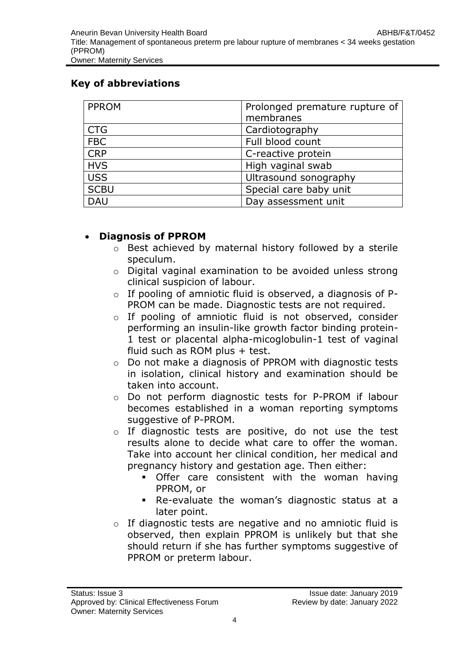#### **Key of abbreviations**

| <b>PPROM</b> | Prolonged premature rupture of |
|--------------|--------------------------------|
|              | membranes                      |
| <b>CTG</b>   | Cardiotography                 |
| <b>FBC</b>   | Full blood count               |
| <b>CRP</b>   | C-reactive protein             |
| <b>HVS</b>   | High vaginal swab              |
| <b>USS</b>   | Ultrasound sonography          |
| <b>SCBU</b>  | Special care baby unit         |
| <b>DAU</b>   | Day assessment unit            |

#### **Diagnosis of PPROM**

- o Best achieved by maternal history followed by a sterile speculum.
- o Digital vaginal examination to be avoided unless strong clinical suspicion of labour.
- $\circ$  If pooling of amniotic fluid is observed, a diagnosis of P-PROM can be made. Diagnostic tests are not required.
- o If pooling of amniotic fluid is not observed, consider performing an insulin-like growth factor binding protein-1 test or placental alpha-micoglobulin-1 test of vaginal fluid such as ROM plus + test.
- o Do not make a diagnosis of PPROM with diagnostic tests in isolation, clinical history and examination should be taken into account.
- o Do not perform diagnostic tests for P-PROM if labour becomes established in a woman reporting symptoms suggestive of P-PROM.
- o If diagnostic tests are positive, do not use the test results alone to decide what care to offer the woman. Take into account her clinical condition, her medical and pregnancy history and gestation age. Then either:
	- **Offer care consistent with the woman having** PPROM, or
	- Re-evaluate the woman's diagnostic status at a later point.
- o If diagnostic tests are negative and no amniotic fluid is observed, then explain PPROM is unlikely but that she should return if she has further symptoms suggestive of PPROM or preterm labour.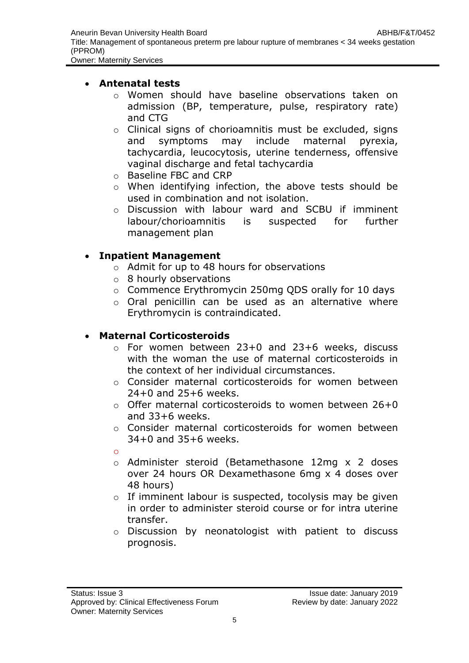Owner: Maternity Services

#### **Antenatal tests**

- o Women should have baseline observations taken on admission (BP, temperature, pulse, respiratory rate) and CTG
- o Clinical signs of chorioamnitis must be excluded, signs and symptoms may include maternal pyrexia, tachycardia, leucocytosis, uterine tenderness, offensive vaginal discharge and fetal tachycardia
- o Baseline FBC and CRP
- o When identifying infection, the above tests should be used in combination and not isolation.
- o Discussion with labour ward and SCBU if imminent labour/chorioamnitis is suspected for further management plan

#### **Inpatient Management**

- o Admit for up to 48 hours for observations
- o 8 hourly observations
- o Commence Erythromycin 250mg QDS orally for 10 days
- o Oral penicillin can be used as an alternative where Erythromycin is contraindicated.

#### **Maternal Corticosteroids**

- o For women between 23+0 and 23+6 weeks, discuss with the woman the use of maternal corticosteroids in the context of her individual circumstances.
- o Consider maternal corticosteroids for women between 24+0 and 25+6 weeks.
- o Offer maternal corticosteroids to women between 26+0 and 33+6 weeks.
- o Consider maternal corticosteroids for women between 34+0 and 35+6 weeks.
- o
- o Administer steroid (Betamethasone 12mg x 2 doses over 24 hours OR Dexamethasone 6mg x 4 doses over 48 hours)
- o If imminent labour is suspected, tocolysis may be given in order to administer steroid course or for intra uterine transfer.
- o Discussion by neonatologist with patient to discuss prognosis.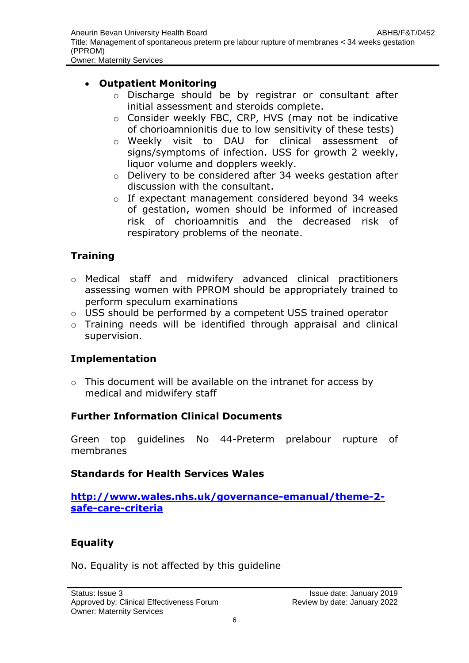Owner: Maternity Services

#### **Outpatient Monitoring**

- o Discharge should be by registrar or consultant after initial assessment and steroids complete.
- o Consider weekly FBC, CRP, HVS (may not be indicative of chorioamnionitis due to low sensitivity of these tests)
- o Weekly visit to DAU for clinical assessment of signs/symptoms of infection. USS for growth 2 weekly, liquor volume and dopplers weekly.
- o Delivery to be considered after 34 weeks gestation after discussion with the consultant.
- o If expectant management considered beyond 34 weeks of gestation, women should be informed of increased risk of chorioamnitis and the decreased risk of respiratory problems of the neonate.

# <span id="page-5-0"></span>**Training**

- o Medical staff and midwifery advanced clinical practitioners assessing women with PPROM should be appropriately trained to perform speculum examinations
- o USS should be performed by a competent USS trained operator
- o Training needs will be identified through appraisal and clinical supervision.

# <span id="page-5-1"></span>**Implementation**

o This document will be available on the intranet for access by medical and midwifery staff

# <span id="page-5-2"></span>**Further Information Clinical Documents**

Green top guidelines No 44-Preterm prelabour rupture of membranes

# <span id="page-5-3"></span>**Standards for Health Services Wales**

**[http://www.wales.nhs.uk/governance-emanual/theme-2](http://www.wales.nhs.uk/governance-emanual/theme-2-safe-care-criteria) [safe-care-criteria](http://www.wales.nhs.uk/governance-emanual/theme-2-safe-care-criteria)**

# **Equality**

No. Equality is not affected by this guideline